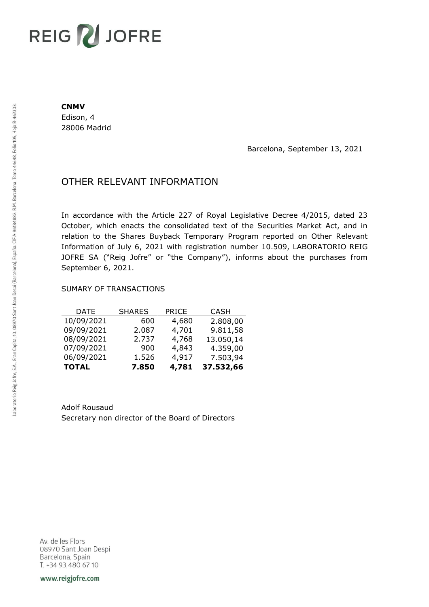# REIG V JOFRE

#### **CNMV**

Edison, 4 28006 Madrid

Barcelona, September 13, 2021

## OTHER RELEVANT INFORMATION

In accordance with the Article 227 of Royal Legislative Decree 4/2015, dated 23 October, which enacts the consolidated text of the Securities Market Act, and in relation to the Shares Buyback Temporary Program reported on Other Relevant Information of July 6, 2021 with registration number 10.509, LABORATORIO REIG JOFRE SA ("Reig Jofre" or "the Company"), informs about the purchases from September 6, 2021.

### SUMARY OF TRANSACTIONS

| <b>TOTAL</b> | 7.850         | 4,781        | 37.532,66   |
|--------------|---------------|--------------|-------------|
| 06/09/2021   | 1.526         | 4,917        | 7.503,94    |
| 07/09/2021   | 900           | 4,843        | 4.359,00    |
| 08/09/2021   | 2.737         | 4,768        | 13.050,14   |
| 09/09/2021   | 2.087         | 4,701        | 9.811,58    |
| 10/09/2021   | 600           | 4,680        | 2.808,00    |
| DATE         | <b>SHARES</b> | <b>PRICE</b> | <b>CASH</b> |

Adolf Rousaud Secretary non director of the Board of Directors

Av. de les Flors 08970 Sant Joan Despi Barcelona, Spain T. +34 93 480 67 10

www.reigjofre.com